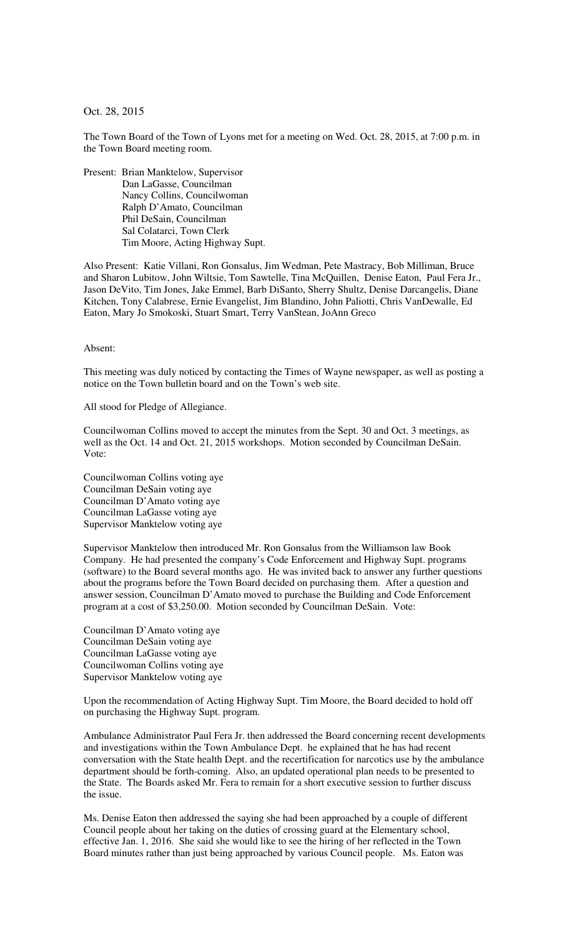## Oct. 28, 2015

The Town Board of the Town of Lyons met for a meeting on Wed. Oct. 28, 2015, at 7:00 p.m. in the Town Board meeting room.

Present: Brian Manktelow, Supervisor Dan LaGasse, Councilman Nancy Collins, Councilwoman Ralph D'Amato, Councilman Phil DeSain, Councilman Sal Colatarci, Town Clerk Tim Moore, Acting Highway Supt.

Also Present: Katie Villani, Ron Gonsalus, Jim Wedman, Pete Mastracy, Bob Milliman, Bruce and Sharon Lubitow, John Wiltsie, Tom Sawtelle, Tina McQuillen, Denise Eaton, Paul Fera Jr., Jason DeVito, Tim Jones, Jake Emmel, Barb DiSanto, Sherry Shultz, Denise Darcangelis, Diane Kitchen, Tony Calabrese, Ernie Evangelist, Jim Blandino, John Paliotti, Chris VanDewalle, Ed Eaton, Mary Jo Smokoski, Stuart Smart, Terry VanStean, JoAnn Greco

## Absent:

This meeting was duly noticed by contacting the Times of Wayne newspaper, as well as posting a notice on the Town bulletin board and on the Town's web site.

All stood for Pledge of Allegiance.

Councilwoman Collins moved to accept the minutes from the Sept. 30 and Oct. 3 meetings, as well as the Oct. 14 and Oct. 21, 2015 workshops. Motion seconded by Councilman DeSain. Vote:

Councilwoman Collins voting aye Councilman DeSain voting aye Councilman D'Amato voting aye Councilman LaGasse voting aye Supervisor Manktelow voting aye

Supervisor Manktelow then introduced Mr. Ron Gonsalus from the Williamson law Book Company. He had presented the company's Code Enforcement and Highway Supt. programs (software) to the Board several months ago. He was invited back to answer any further questions about the programs before the Town Board decided on purchasing them. After a question and answer session, Councilman D'Amato moved to purchase the Building and Code Enforcement program at a cost of \$3,250.00. Motion seconded by Councilman DeSain. Vote:

Councilman D'Amato voting aye Councilman DeSain voting aye Councilman LaGasse voting aye Councilwoman Collins voting aye Supervisor Manktelow voting aye

Upon the recommendation of Acting Highway Supt. Tim Moore, the Board decided to hold off on purchasing the Highway Supt. program.

Ambulance Administrator Paul Fera Jr. then addressed the Board concerning recent developments and investigations within the Town Ambulance Dept. he explained that he has had recent conversation with the State health Dept. and the recertification for narcotics use by the ambulance department should be forth-coming. Also, an updated operational plan needs to be presented to the State. The Boards asked Mr. Fera to remain for a short executive session to further discuss the issue.

Ms. Denise Eaton then addressed the saying she had been approached by a couple of different Council people about her taking on the duties of crossing guard at the Elementary school, effective Jan. 1, 2016. She said she would like to see the hiring of her reflected in the Town Board minutes rather than just being approached by various Council people. Ms. Eaton was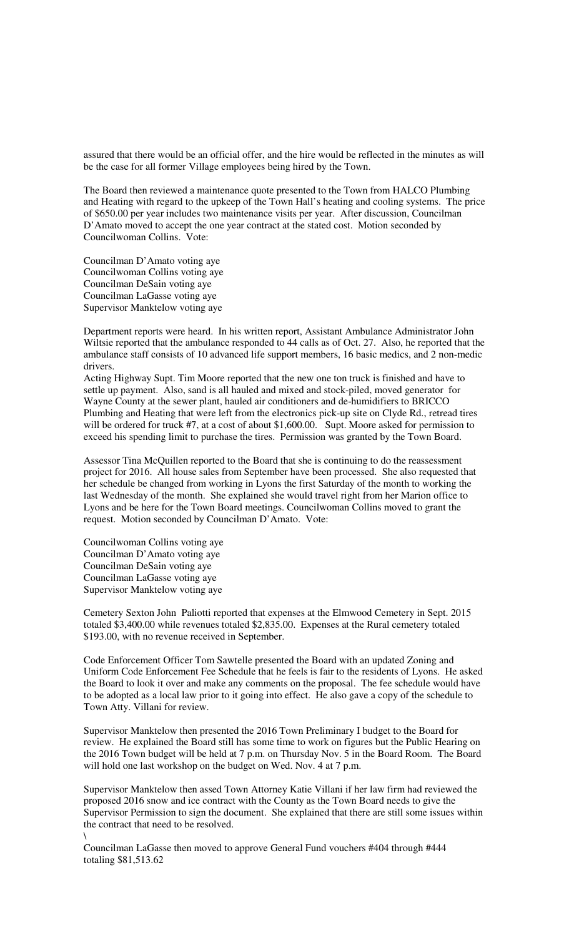assured that there would be an official offer, and the hire would be reflected in the minutes as will be the case for all former Village employees being hired by the Town.

The Board then reviewed a maintenance quote presented to the Town from HALCO Plumbing and Heating with regard to the upkeep of the Town Hall's heating and cooling systems. The price of \$650.00 per year includes two maintenance visits per year. After discussion, Councilman D'Amato moved to accept the one year contract at the stated cost. Motion seconded by Councilwoman Collins. Vote:

Councilman D'Amato voting aye Councilwoman Collins voting aye Councilman DeSain voting aye Councilman LaGasse voting aye Supervisor Manktelow voting aye

Department reports were heard. In his written report, Assistant Ambulance Administrator John Wiltsie reported that the ambulance responded to 44 calls as of Oct. 27. Also, he reported that the ambulance staff consists of 10 advanced life support members, 16 basic medics, and 2 non-medic drivers.

Acting Highway Supt. Tim Moore reported that the new one ton truck is finished and have to settle up payment. Also, sand is all hauled and mixed and stock-piled, moved generator for Wayne County at the sewer plant, hauled air conditioners and de-humidifiers to BRICCO Plumbing and Heating that were left from the electronics pick-up site on Clyde Rd., retread tires will be ordered for truck #7, at a cost of about \$1,600.00. Supt. Moore asked for permission to exceed his spending limit to purchase the tires. Permission was granted by the Town Board.

Assessor Tina McQuillen reported to the Board that she is continuing to do the reassessment project for 2016. All house sales from September have been processed. She also requested that her schedule be changed from working in Lyons the first Saturday of the month to working the last Wednesday of the month. She explained she would travel right from her Marion office to Lyons and be here for the Town Board meetings. Councilwoman Collins moved to grant the request. Motion seconded by Councilman D'Amato. Vote:

Councilwoman Collins voting aye Councilman D'Amato voting aye Councilman DeSain voting aye Councilman LaGasse voting aye Supervisor Manktelow voting aye

Cemetery Sexton John Paliotti reported that expenses at the Elmwood Cemetery in Sept. 2015 totaled \$3,400.00 while revenues totaled \$2,835.00. Expenses at the Rural cemetery totaled \$193.00, with no revenue received in September.

Code Enforcement Officer Tom Sawtelle presented the Board with an updated Zoning and Uniform Code Enforcement Fee Schedule that he feels is fair to the residents of Lyons. He asked the Board to look it over and make any comments on the proposal. The fee schedule would have to be adopted as a local law prior to it going into effect. He also gave a copy of the schedule to Town Atty. Villani for review.

Supervisor Manktelow then presented the 2016 Town Preliminary I budget to the Board for review. He explained the Board still has some time to work on figures but the Public Hearing on the 2016 Town budget will be held at 7 p.m. on Thursday Nov. 5 in the Board Room. The Board will hold one last workshop on the budget on Wed. Nov. 4 at 7 p.m.

Supervisor Manktelow then assed Town Attorney Katie Villani if her law firm had reviewed the proposed 2016 snow and ice contract with the County as the Town Board needs to give the Supervisor Permission to sign the document. She explained that there are still some issues within the contract that need to be resolved. \

Councilman LaGasse then moved to approve General Fund vouchers #404 through #444 totaling \$81,513.62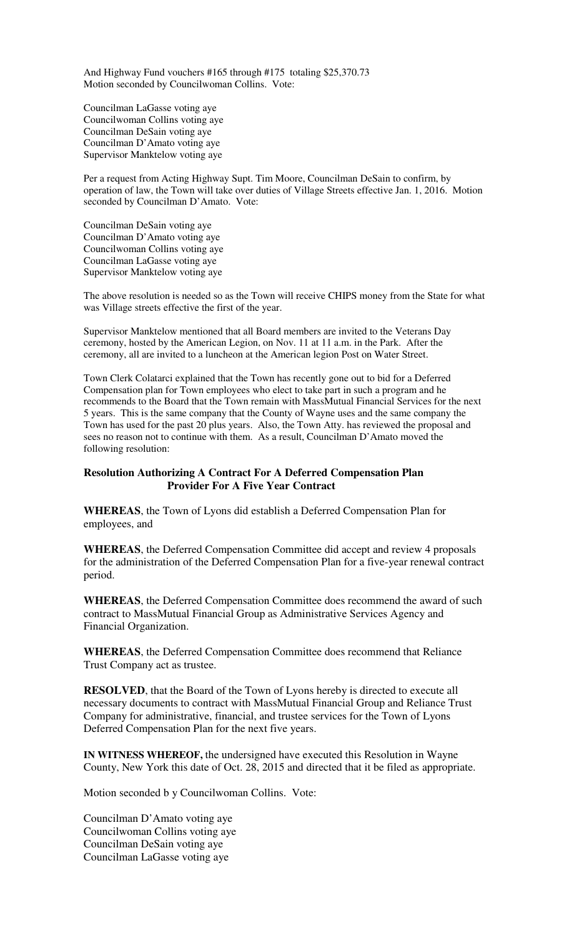And Highway Fund vouchers #165 through #175 totaling \$25,370.73 Motion seconded by Councilwoman Collins. Vote:

Councilman LaGasse voting aye Councilwoman Collins voting aye Councilman DeSain voting aye Councilman D'Amato voting aye Supervisor Manktelow voting aye

Per a request from Acting Highway Supt. Tim Moore, Councilman DeSain to confirm, by operation of law, the Town will take over duties of Village Streets effective Jan. 1, 2016. Motion seconded by Councilman D'Amato. Vote:

Councilman DeSain voting aye Councilman D'Amato voting aye Councilwoman Collins voting aye Councilman LaGasse voting aye Supervisor Manktelow voting aye

The above resolution is needed so as the Town will receive CHIPS money from the State for what was Village streets effective the first of the year.

Supervisor Manktelow mentioned that all Board members are invited to the Veterans Day ceremony, hosted by the American Legion, on Nov. 11 at 11 a.m. in the Park. After the ceremony, all are invited to a luncheon at the American legion Post on Water Street.

Town Clerk Colatarci explained that the Town has recently gone out to bid for a Deferred Compensation plan for Town employees who elect to take part in such a program and he recommends to the Board that the Town remain with MassMutual Financial Services for the next 5 years. This is the same company that the County of Wayne uses and the same company the Town has used for the past 20 plus years. Also, the Town Atty. has reviewed the proposal and sees no reason not to continue with them. As a result, Councilman D'Amato moved the following resolution:

## **Resolution Authorizing A Contract For A Deferred Compensation Plan Provider For A Five Year Contract**

**WHEREAS**, the Town of Lyons did establish a Deferred Compensation Plan for employees, and

**WHEREAS**, the Deferred Compensation Committee did accept and review 4 proposals for the administration of the Deferred Compensation Plan for a five-year renewal contract period.

**WHEREAS**, the Deferred Compensation Committee does recommend the award of such contract to MassMutual Financial Group as Administrative Services Agency and Financial Organization.

**WHEREAS**, the Deferred Compensation Committee does recommend that Reliance Trust Company act as trustee.

**RESOLVED**, that the Board of the Town of Lyons hereby is directed to execute all necessary documents to contract with MassMutual Financial Group and Reliance Trust Company for administrative, financial, and trustee services for the Town of Lyons Deferred Compensation Plan for the next five years.

**IN WITNESS WHEREOF,** the undersigned have executed this Resolution in Wayne County, New York this date of Oct. 28, 2015 and directed that it be filed as appropriate.

Motion seconded b y Councilwoman Collins. Vote:

Councilman D'Amato voting aye Councilwoman Collins voting aye Councilman DeSain voting aye Councilman LaGasse voting aye